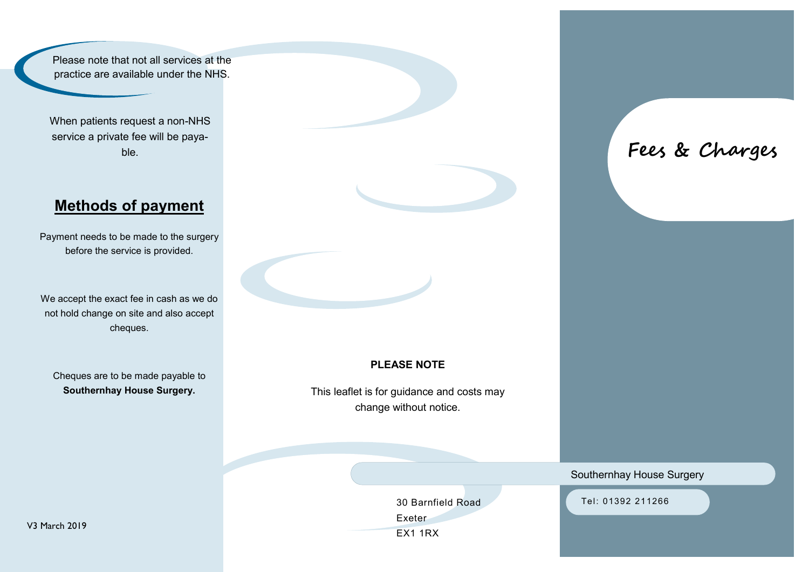Please note that not all services at the practice are available under the NHS.

When patients request a non-NHS service a private fee will be payable.

# **Methods of payment**

Payment needs to be made to the surgery before the service is provided.

We accept the exact fee in cash as we do not hold change on site and also accept cheques.

Cheques are to be made payable to **Southernhay House Surgery.**

#### **PLEASE NOTE**

This leaflet is for guidance and costs may change without notice.

> Exeter EX1 1RX

30 Barnfield Road

**Fees & Charges**

#### Southernhay House Surgery

Tel: 01392 211266

V3 March 2019